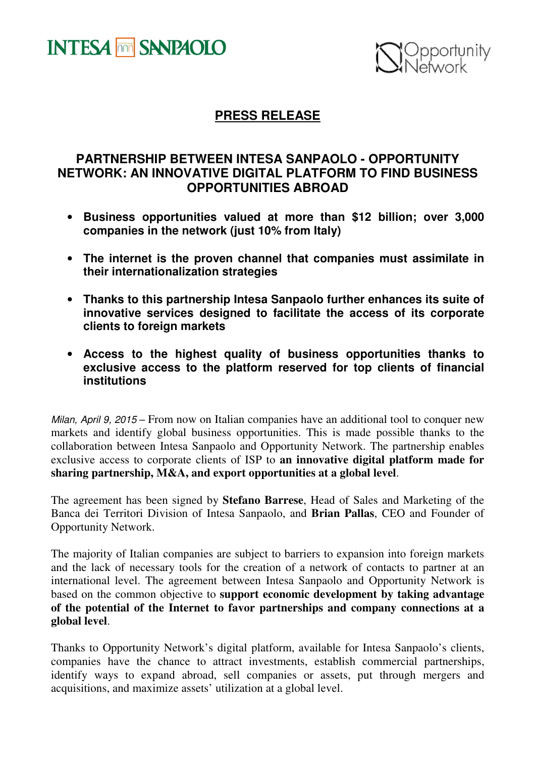



## **PRESS RELEASE**

## **PARTNERSHIP BETWEEN INTESA SANPAOLO - OPPORTUNITY NETWORK: AN INNOVATIVE DIGITAL PLATFORM TO FIND BUSINESS OPPORTUNITIES ABROAD**

- **Business opportunities valued at more than \$12 billion; over 3,000 companies in the network (just 10% from Italy)**
- **The internet is the proven channel that companies must assimilate in their internationalization strategies**
- **Thanks to this partnership Intesa Sanpaolo further enhances its suite of innovative services designed to facilitate the access of its corporate clients to foreign markets**
- **Access to the highest quality of business opportunities thanks to exclusive access to the platform reserved for top clients of financial institutions**

Milan, April 9, 2015 – From now on Italian companies have an additional tool to conquer new markets and identify global business opportunities. This is made possible thanks to the collaboration between Intesa Sanpaolo and Opportunity Network. The partnership enables exclusive access to corporate clients of ISP to **an innovative digital platform made for sharing partnership, M&A, and export opportunities at a global level**.

The agreement has been signed by **Stefano Barrese**, Head of Sales and Marketing of the Banca dei Territori Division of Intesa Sanpaolo, and **Brian Pallas**, CEO and Founder of Opportunity Network.

The majority of Italian companies are subject to barriers to expansion into foreign markets and the lack of necessary tools for the creation of a network of contacts to partner at an international level. The agreement between Intesa Sanpaolo and Opportunity Network is based on the common objective to **support economic development by taking advantage of the potential of the Internet to favor partnerships and company connections at a global level**.

Thanks to Opportunity Network's digital platform, available for Intesa Sanpaolo's clients, companies have the chance to attract investments, establish commercial partnerships, identify ways to expand abroad, sell companies or assets, put through mergers and acquisitions, and maximize assets' utilization at a global level.